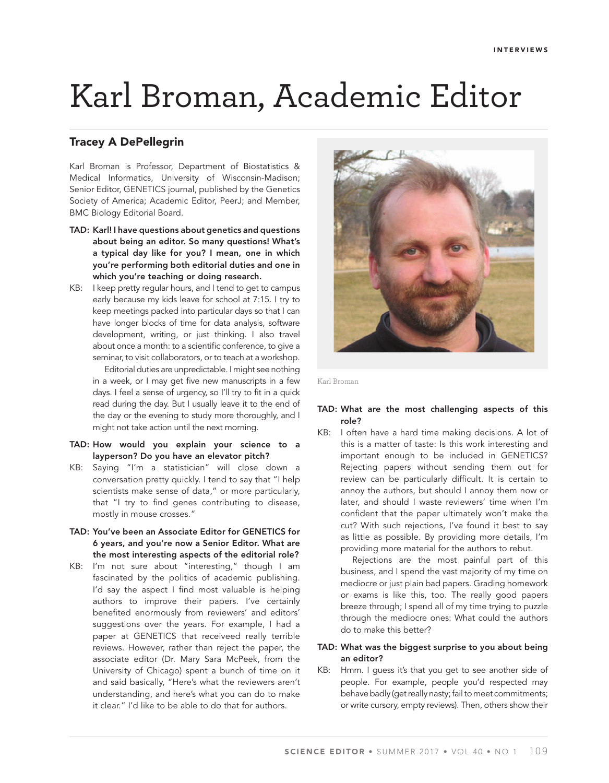# Karl Broman, Academic Editor

# **Tracey A DePellegrin**

Karl Broman is Professor, Department of Biostatistics & Medical Informatics, University of Wisconsin-Madison; Senior Editor, GENETICS journal, published by the Genetics Society of America; Academic Editor, PeerJ; and Member, BMC Biology Editorial Board.

- **TAD: Karl! I have questions about genetics and questions about being an editor. So many questions! What's a typical day like for you? I mean, one in which you're performing both editorial duties and one in which you're teaching or doing research.**
- KB: I keep pretty regular hours, and I tend to get to campus early because my kids leave for school at 7:15. I try to keep meetings packed into particular days so that I can have longer blocks of time for data analysis, software development, writing, or just thinking. I also travel about once a month: to a scientific conference, to give a seminar, to visit collaborators, or to teach at a workshop.

Editorial duties are unpredictable. I might see nothing in a week, or I may get five new manuscripts in a few days. I feel a sense of urgency, so I'll try to fit in a quick read during the day. But I usually leave it to the end of the day or the evening to study more thoroughly, and I might not take action until the next morning.

- **TAD: How would you explain your science to a layperson? Do you have an elevator pitch?**
- KB: Saying "I'm a statistician" will close down a conversation pretty quickly. I tend to say that "I help scientists make sense of data," or more particularly, that "I try to find genes contributing to disease, mostly in mouse crosses."
- **TAD: You've been an Associate Editor for GENETICS for 6 years, and you're now a Senior Editor. What are the most interesting aspects of the editorial role?**
- KB: I'm not sure about "interesting," though I am fascinated by the politics of academic publishing. I'd say the aspect I find most valuable is helping authors to improve their papers. I've certainly benefited enormously from reviewers' and editors' suggestions over the years. For example, I had a paper at GENETICS that receiveed really terrible reviews. However, rather than reject the paper, the associate editor (Dr. Mary Sara McPeek, from the University of Chicago) spent a bunch of time on it and said basically, "Here's what the reviewers aren't understanding, and here's what you can do to make it clear." I'd like to be able to do that for authors.



Karl Broman

# **TAD: What are the most challenging aspects of this role?**

KB: I often have a hard time making decisions. A lot of this is a matter of taste: Is this work interesting and important enough to be included in GENETICS? Rejecting papers without sending them out for review can be particularly difficult. It is certain to annoy the authors, but should I annoy them now or later, and should I waste reviewers' time when I'm confident that the paper ultimately won't make the cut? With such rejections, I've found it best to say as little as possible. By providing more details, I'm providing more material for the authors to rebut.

Rejections are the most painful part of this business, and I spend the vast majority of my time on mediocre or just plain bad papers. Grading homework or exams is like this, too. The really good papers breeze through; I spend all of my time trying to puzzle through the mediocre ones: What could the authors do to make this better?

# **TAD: What was the biggest surprise to you about being an editor?**

KB: Hmm. I guess it's that you get to see another side of people. For example, people you'd respected may behave badly (get really nasty; fail to meet commitments; or write cursory, empty reviews). Then, others show their